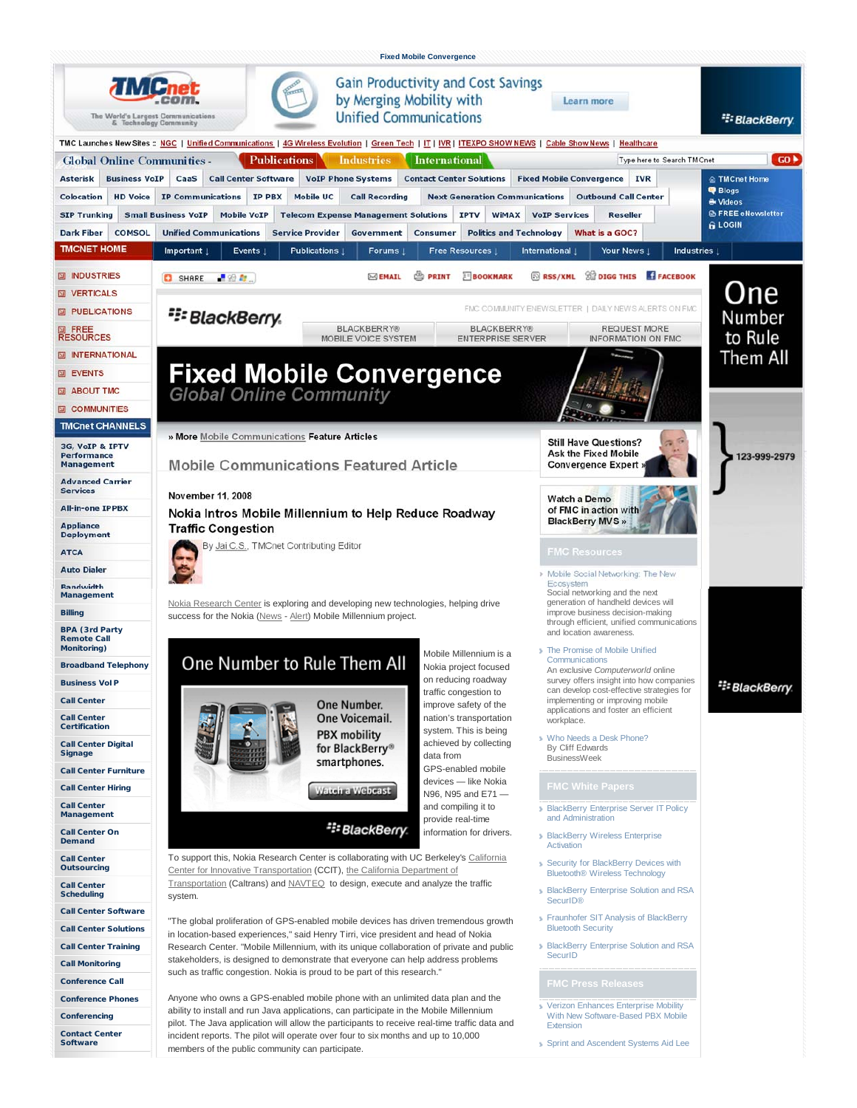